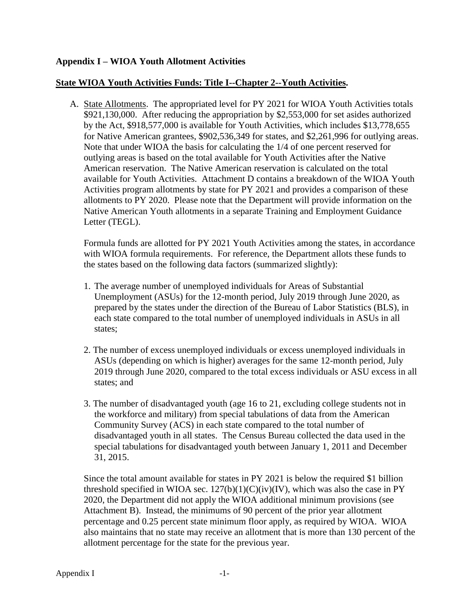## **Appendix I – WIOA Youth Allotment Activities**

## **State WIOA Youth Activities Funds: Title I--Chapter 2--Youth Activities.**

A. State Allotments. The appropriated level for PY 2021 for WIOA Youth Activities totals \$921,130,000. After reducing the appropriation by \$2,553,000 for set asides authorized by the Act, \$918,577,000 is available for Youth Activities, which includes \$13,778,655 for Native American grantees, \$902,536,349 for states, and \$2,261,996 for outlying areas. Note that under WIOA the basis for calculating the 1/4 of one percent reserved for outlying areas is based on the total available for Youth Activities after the Native American reservation. The Native American reservation is calculated on the total available for Youth Activities. Attachment D contains a breakdown of the WIOA Youth Activities program allotments by state for PY 2021 and provides a comparison of these allotments to PY 2020. Please note that the Department will provide information on the Native American Youth allotments in a separate Training and Employment Guidance Letter (TEGL).

Formula funds are allotted for PY 2021 Youth Activities among the states, in accordance with WIOA formula requirements. For reference, the Department allots these funds to the states based on the following data factors (summarized slightly):

- 1. The average number of unemployed individuals for Areas of Substantial Unemployment (ASUs) for the 12-month period, July 2019 through June 2020, as prepared by the states under the direction of the Bureau of Labor Statistics (BLS), in each state compared to the total number of unemployed individuals in ASUs in all states;
- 2. The number of excess unemployed individuals or excess unemployed individuals in ASUs (depending on which is higher) averages for the same 12-month period, July 2019 through June 2020, compared to the total excess individuals or ASU excess in all states; and
- 3. The number of disadvantaged youth (age 16 to 21, excluding college students not in the workforce and military) from special tabulations of data from the American Community Survey (ACS) in each state compared to the total number of disadvantaged youth in all states. The Census Bureau collected the data used in the special tabulations for disadvantaged youth between January 1, 2011 and December 31, 2015.

Since the total amount available for states in PY 2021 is below the required \$1 billion threshold specified in WIOA sec.  $127(b)(1)(C)(iv)(IV)$ , which was also the case in PY 2020, the Department did not apply the WIOA additional minimum provisions (see Attachment B). Instead, the minimums of 90 percent of the prior year allotment percentage and 0.25 percent state minimum floor apply, as required by WIOA. WIOA also maintains that no state may receive an allotment that is more than 130 percent of the allotment percentage for the state for the previous year.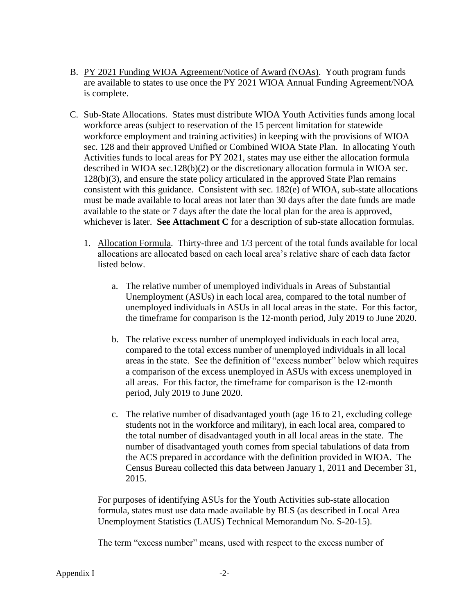- B. PY 2021 Funding WIOA Agreement/Notice of Award (NOAs). Youth program funds are available to states to use once the PY 2021 WIOA Annual Funding Agreement/NOA is complete.
- C. Sub-State Allocations. States must distribute WIOA Youth Activities funds among local workforce areas (subject to reservation of the 15 percent limitation for statewide workforce employment and training activities) in keeping with the provisions of WIOA sec. 128 and their approved Unified or Combined WIOA State Plan. In allocating Youth Activities funds to local areas for PY 2021, states may use either the allocation formula described in WIOA sec.128(b)(2) or the discretionary allocation formula in WIOA sec. 128(b)(3), and ensure the state policy articulated in the approved State Plan remains consistent with this guidance. Consistent with sec. 182(e) of WIOA, sub-state allocations must be made available to local areas not later than 30 days after the date funds are made available to the state or 7 days after the date the local plan for the area is approved, whichever is later. **See Attachment C** for a description of sub-state allocation formulas.
	- 1. Allocation Formula. Thirty-three and 1/3 percent of the total funds available for local allocations are allocated based on each local area's relative share of each data factor listed below.
		- a. The relative number of unemployed individuals in Areas of Substantial Unemployment (ASUs) in each local area, compared to the total number of unemployed individuals in ASUs in all local areas in the state. For this factor, the timeframe for comparison is the 12-month period, July 2019 to June 2020.
		- b. The relative excess number of unemployed individuals in each local area, compared to the total excess number of unemployed individuals in all local areas in the state. See the definition of "excess number" below which requires a comparison of the excess unemployed in ASUs with excess unemployed in all areas. For this factor, the timeframe for comparison is the 12-month period, July 2019 to June 2020.
		- c. The relative number of disadvantaged youth (age 16 to 21, excluding college students not in the workforce and military), in each local area, compared to the total number of disadvantaged youth in all local areas in the state. The number of disadvantaged youth comes from special tabulations of data from the ACS prepared in accordance with the definition provided in WIOA. The Census Bureau collected this data between January 1, 2011 and December 31, 2015.

For purposes of identifying ASUs for the Youth Activities sub-state allocation formula, states must use data made available by BLS (as described in Local Area Unemployment Statistics (LAUS) Technical Memorandum No. S-20-15).

The term "excess number" means, used with respect to the excess number of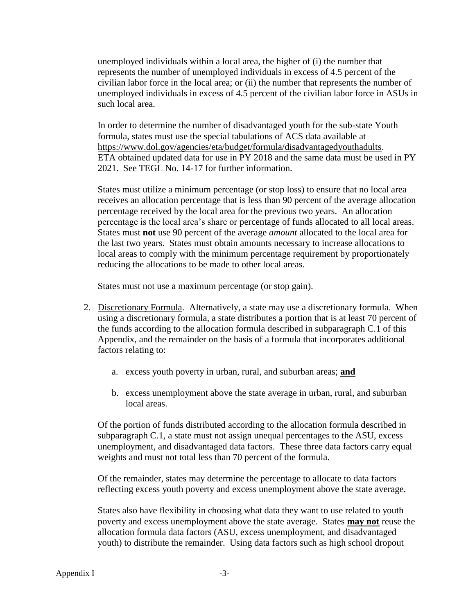unemployed individuals within a local area, the higher of (i) the number that represents the number of unemployed individuals in excess of 4.5 percent of the civilian labor force in the local area; or (ii) the number that represents the number of unemployed individuals in excess of 4.5 percent of the civilian labor force in ASUs in such local area.

In order to determine the number of disadvantaged youth for the sub-state Youth formula, states must use the special tabulations of ACS data available at [https://www.dol.gov/agencies/eta/budget/formula/disadvantagedyouthadults.](https://www.dol.gov/agencies/eta/budget/formula/disadvantagedyouthadults) ETA obtained updated data for use in PY 2018 and the same data must be used in PY 2021. See TEGL No. 14-17 for further information.

States must utilize a minimum percentage (or stop loss) to ensure that no local area receives an allocation percentage that is less than 90 percent of the average allocation percentage received by the local area for the previous two years. An allocation percentage is the local area's share or percentage of funds allocated to all local areas. States must **not** use 90 percent of the average *amount* allocated to the local area for the last two years. States must obtain amounts necessary to increase allocations to local areas to comply with the minimum percentage requirement by proportionately reducing the allocations to be made to other local areas.

States must not use a maximum percentage (or stop gain).

- 2. Discretionary Formula. Alternatively, a state may use a discretionary formula. When using a discretionary formula, a state distributes a portion that is at least 70 percent of the funds according to the allocation formula described in subparagraph C.1 of this Appendix, and the remainder on the basis of a formula that incorporates additional factors relating to:
	- a. excess youth poverty in urban, rural, and suburban areas; **and**
	- b. excess unemployment above the state average in urban, rural, and suburban local areas.

Of the portion of funds distributed according to the allocation formula described in subparagraph C.1, a state must not assign unequal percentages to the ASU, excess unemployment, and disadvantaged data factors. These three data factors carry equal weights and must not total less than 70 percent of the formula.

Of the remainder, states may determine the percentage to allocate to data factors reflecting excess youth poverty and excess unemployment above the state average.

States also have flexibility in choosing what data they want to use related to youth poverty and excess unemployment above the state average. States **may not** reuse the allocation formula data factors (ASU, excess unemployment, and disadvantaged youth) to distribute the remainder. Using data factors such as high school dropout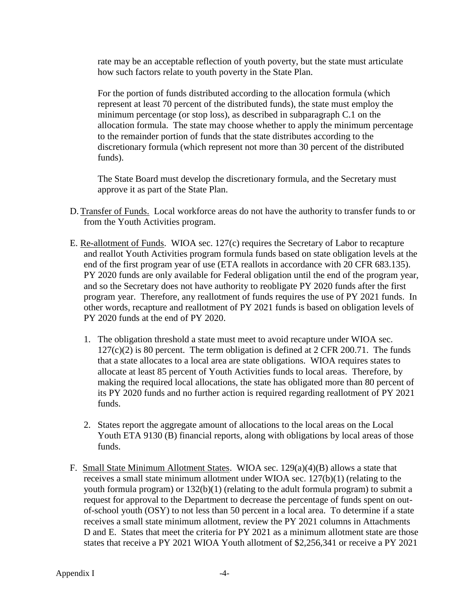rate may be an acceptable reflection of youth poverty, but the state must articulate how such factors relate to youth poverty in the State Plan.

For the portion of funds distributed according to the allocation formula (which represent at least 70 percent of the distributed funds), the state must employ the minimum percentage (or stop loss), as described in subparagraph C.1 on the allocation formula. The state may choose whether to apply the minimum percentage to the remainder portion of funds that the state distributes according to the discretionary formula (which represent not more than 30 percent of the distributed funds).

The State Board must develop the discretionary formula, and the Secretary must approve it as part of the State Plan.

- D. Transfer of Funds. Local workforce areas do not have the authority to transfer funds to or from the Youth Activities program.
- E. Re-allotment of Funds. WIOA sec. 127(c) requires the Secretary of Labor to recapture and reallot Youth Activities program formula funds based on state obligation levels at the end of the first program year of use (ETA reallots in accordance with 20 CFR 683.135). PY 2020 funds are only available for Federal obligation until the end of the program year, and so the Secretary does not have authority to reobligate PY 2020 funds after the first program year. Therefore, any reallotment of funds requires the use of PY 2021 funds. In other words, recapture and reallotment of PY 2021 funds is based on obligation levels of PY 2020 funds at the end of PY 2020.
	- 1. The obligation threshold a state must meet to avoid recapture under WIOA sec.  $127(c)(2)$  is 80 percent. The term obligation is defined at 2 CFR 200.71. The funds that a state allocates to a local area are state obligations. WIOA requires states to allocate at least 85 percent of Youth Activities funds to local areas. Therefore, by making the required local allocations, the state has obligated more than 80 percent of its PY 2020 funds and no further action is required regarding reallotment of PY 2021 funds.
	- 2. States report the aggregate amount of allocations to the local areas on the Local Youth ETA 9130 (B) financial reports, along with obligations by local areas of those funds.
- F. Small State Minimum Allotment States. WIOA sec. 129(a)(4)(B) allows a state that receives a small state minimum allotment under WIOA sec. 127(b)(1) (relating to the youth formula program) or 132(b)(1) (relating to the adult formula program) to submit a request for approval to the Department to decrease the percentage of funds spent on outof-school youth (OSY) to not less than 50 percent in a local area. To determine if a state receives a small state minimum allotment, review the PY 2021 columns in Attachments D and E. States that meet the criteria for PY 2021 as a minimum allotment state are those states that receive a PY 2021 WIOA Youth allotment of \$2,256,341 or receive a PY 2021